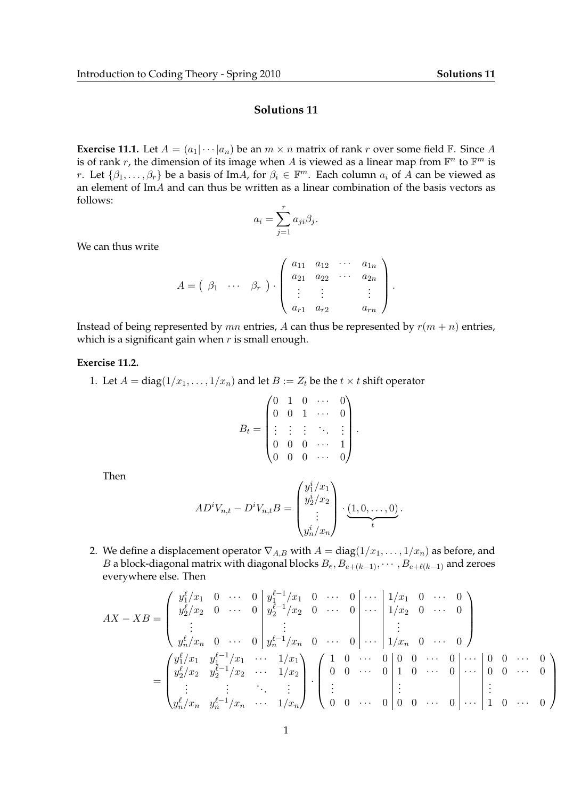$\setminus$ 

 $\Bigg\}$ 

## **Solutions 11**

**Exercise 11.1.** Let  $A = (a_1 | \cdots | a_n)$  be an  $m \times n$  matrix of rank r over some field  $\mathbb{F}$ . Since A is of rank r, the dimension of its image when A is viewed as a linear map from  $\mathbb{F}^n$  to  $\mathbb{F}^m$  is r. Let  $\{\beta_1,\ldots,\beta_r\}$  be a basis of ImA, for  $\beta_i \in \mathbb{F}^m$ . Each column  $a_i$  of A can be viewed as an element of ImA and can thus be written as a linear combination of the basis vectors as follows:

$$
a_i = \sum_{j=1}^r a_{ji} \beta_j.
$$

We can thus write

$$
A = \begin{pmatrix} \beta_1 & \cdots & \beta_r \end{pmatrix} \cdot \begin{pmatrix} a_{11} & a_{12} & \cdots & a_{1n} \\ a_{21} & a_{22} & \cdots & a_{2n} \\ \vdots & \vdots & & \vdots \\ a_{r1} & a_{r2} & a_{rn} \end{pmatrix}.
$$

Instead of being represented by  $mn$  entries, A can thus be represented by  $r(m + n)$  entries, which is a significant gain when  $r$  is small enough.

## **Exercise 11.2.**

1. Let  $A = diag(1/x_1, \ldots, 1/x_n)$  and let  $B := Z_t$  be the  $t \times t$  shift operator

$$
B_t = \begin{pmatrix} 0 & 1 & 0 & \cdots & 0 \\ 0 & 0 & 1 & \cdots & 0 \\ \vdots & \vdots & \vdots & \ddots & \vdots \\ 0 & 0 & 0 & \cdots & 1 \\ 0 & 0 & 0 & \cdots & 0 \end{pmatrix}.
$$

Then

$$
ADiVn,t - DiVn,tB = \begin{pmatrix} y_1^i/x_1 \\ y_2^i/x_2 \\ \vdots \\ y_n^i/x_n \end{pmatrix} \cdot \underbrace{(1,0,\ldots,0)}_{t}.
$$

2. We define a displacement operator  $\nabla_{A,B}$  with  $A = \text{diag}(1/x_1, \ldots, 1/x_n)$  as before, and B a block-diagonal matrix with diagonal blocks  $B_e, B_{e+(k-1)}, \cdots, B_{e+\ell(k-1)}$  and zeroes everywhere else. Then

AX − XB = y ` 1 /x<sup>1</sup> 0 · · · 0 y `−1 1 /x<sup>1</sup> 0 · · · 0 · · · 1/x<sup>1</sup> 0 · · · 0 y ` 2 /x<sup>2</sup> 0 · · · 0 y `−1 2 /x<sup>2</sup> 0 · · · 0 · · · 1/x<sup>2</sup> 0 · · · 0 . . . . . . . . . y ` <sup>n</sup>/x<sup>n</sup> 0 · · · 0 y `−1 <sup>n</sup> /x<sup>n</sup> 0 · · · 0 · · · 1/x<sup>n</sup> 0 · · · 0 = y ` 1 /x<sup>1</sup> y `−1 1 /x<sup>1</sup> · · · 1/x<sup>1</sup> y ` 2 /x<sup>2</sup> y `−1 2 /x<sup>2</sup> · · · 1/x<sup>2</sup> . . . . . . . . . . . . y ` <sup>n</sup>/x<sup>n</sup> y `−1 <sup>n</sup> /x<sup>n</sup> · · · 1/x<sup>n</sup> · 1 0 · · · 0 0 0 · · · 0 · · · 0 0 · · · 0 0 0 · · · 0 1 0 · · · 0 · · · 0 0 · · · 0 . . . . . . . . . 0 0 · · · 0 0 0 · · · 0 · · · 1 0 · · · 0